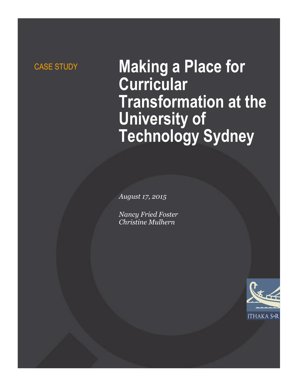# CASE STUDY **Making a Place for Curricular Transformation at the University of Technology Sydney**

*August 17, 2015*

*Nancy Fried Foster Christine Mulhern*

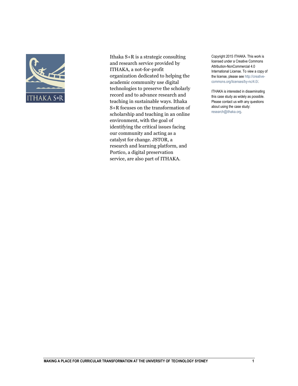

Ithaka S+R is a strategic consulting and research service provided by ITHAKA, a not-for-profit organization dedicated to helping the academic community use digital technologies to preserve the scholarly record and to advance research and teaching in sustainable ways. Ithaka S+R focuses on the transformation of scholarship and teaching in an online environment, with the goal of identifying the critical issues facing our community and acting as a catalyst for change. JSTOR, a research and learning platform, and Portico, a digital preservation service, are also part of ITHAKA.

Copyright 2015 ITHAKA. This work is licensed under a Creative Commons Attribution-NonCommercial 4.0 International License. To view a copy of the license, please see http://creativecommons.org/licenses/by-nc/4.0/.

ITHAKA is interested in disseminating this case study as widely as possible. Please contact us with any questions about using the case study: research@ithaka.org.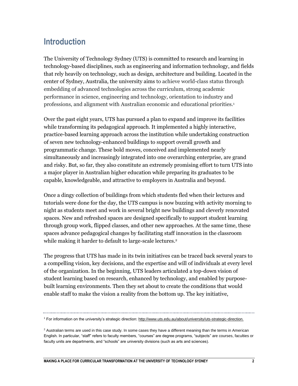### **Introduction**

The University of Technology Sydney (UTS) is committed to research and learning in technology-based disciplines, such as engineering and information technology, and fields that rely heavily on technology, such as design, architecture and building. Located in the center of Sydney, Australia, the university aims to achieve world-class status through embedding of advanced technologies across the curriculum, strong academic performance in science, engineering and technology, orientation to industry and professions, and alignment with Australian economic and educational priorities.<sup>1</sup>

Over the past eight years, UTS has pursued a plan to expand and improve its facilities while transforming its pedagogical approach. It implemented a highly interactive, practice-based learning approach across the institution while undertaking construction of seven new technology-enhanced buildings to support overall growth and programmatic change. These bold moves, conceived and implemented nearly simultaneously and increasingly integrated into one overarching enterprise, are grand and risky. But, so far, they also constitute an extremely promising effort to turn UTS into a major player in Australian higher education while preparing its graduates to be capable, knowledgeable, and attractive to employers in Australia and beyond.

Once a dingy collection of buildings from which students fled when their lectures and tutorials were done for the day, the UTS campus is now buzzing with activity morning to night as students meet and work in several bright new buildings and cleverly renovated spaces. New and refreshed spaces are designed specifically to support student learning through group work, flipped classes, and other new approaches. At the same time, these spaces advance pedagogical changes by facilitating staff innovation in the classroom while making it harder to default to large-scale lectures.<sup>2</sup>

The progress that UTS has made in its twin initiatives can be traced back several years to a compelling vision, key decisions, and the expertise and will of individuals at every level of the organization. In the beginning, UTS leaders articulated a top-down vision of student learning based on research, enhanced by technology, and enabled by purposebuilt learning environments. Then they set about to create the conditions that would enable staff to make the vision a reality from the bottom up. The key initiative,

<sup>1</sup> For information on the university's strategic direction[: http://www.uts.edu.au/about/university/uts-strategic-direction.](http://www.uts.edu.au/about/university/uts-strategic-direction)

<sup>&</sup>lt;sup>2</sup> Australian terms are used in this case study. In some cases they have a different meaning than the terms in American English. In particular, "staff" refers to faculty members, "courses" are degree programs, "subjects" are courses, faculties or faculty units are departments, and "schools" are university divisions (such as arts and sciences).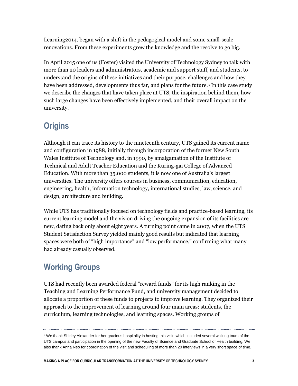Learning2014, began with a shift in the pedagogical model and some small-scale renovations. From these experiments grew the knowledge and the resolve to go big.

In April 2015 one of us (Foster) visited the University of Technology Sydney to talk with more than 20 leaders and administrators, academic and support staff, and students, to understand the origins of these initiatives and their purpose, challenges and how they have been addressed, developments thus far, and plans for the future.<sup>3</sup> In this case study we describe the changes that have taken place at UTS, the inspiration behind them, how such large changes have been effectively implemented, and their overall impact on the university.

### **Origins**

Although it can trace its history to the nineteenth century, UTS gained its current name and configuration in 1988, initially through incorporation of the former New South Wales Institute of Technology and, in 1990, by amalgamation of the Institute of Technical and Adult Teacher Education and the Kuring-gai College of Advanced Education. With more than 35,000 students, it is now one of Australia's largest universities. The university offers courses in business, communication, education, engineering, health, information technology, international studies, law, science, and design, architecture and building.

While UTS has traditionally focused on technology fields and practice-based learning, its current learning model and the vision driving the ongoing expansion of its facilities are new, dating back only about eight years. A turning point came in 2007, when the UTS Student Satisfaction Survey yielded mainly good results but indicated that learning spaces were both of "high importance" and "low performance," confirming what many had already casually observed.

### **Working Groups**

UTS had recently been awarded federal "reward funds" for its high ranking in the Teaching and Learning Performance Fund, and university management decided to allocate a proportion of these funds to projects to improve learning. They organized their approach to the improvement of learning around four main areas: students, the curriculum, learning technologies, and learning spaces. Working groups of

 $3$  We thank Shirley Alexander for her gracious hospitality in hosting this visit, which included several walking tours of the UTS campus and participation in the opening of the new Faculty of Science and Graduate School of Health building. We also thank Anna Neo for coordination of the visit and scheduling of more than 20 interviews in a very short space of time.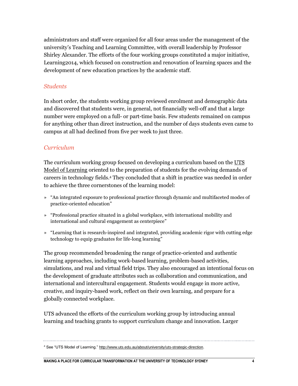administrators and staff were organized for all four areas under the management of the university's Teaching and Learning Committee, with overall leadership by Professor Shirley Alexander. The efforts of the four working groups constituted a major initiative, Learning2014, which focused on construction and renovation of learning spaces and the development of new education practices by the academic staff.

#### *Students*

In short order, the students working group reviewed enrolment and demographic data and discovered that students were, in general, not financially well-off and that a large number were employed on a full- or part-time basis. Few students remained on campus for anything other than direct instruction, and the number of days students even came to campus at all had declined from five per week to just three.

#### *Curriculum*

The curriculum working group focused on developing a curriculum based on the UTS [Model of Learning](http://www.uts.edu.au/research-and-teaching/teaching-and-learning/uts-model-learning/uts-model-learning) oriented to the preparation of students for the evolving demands of careers in technology fields. <sup>4</sup> They concluded that a shift in practice was needed in order to achieve the three cornerstones of the learning model:

- » "An integrated exposure to professional practice through dynamic and multifaceted modes of practice-oriented education"
- » "Professional practice situated in a global workplace, with international mobility and international and cultural engagement as centerpiece"
- » "Learning that is research-inspired and integrated, providing academic rigor with cutting edge technology to equip graduates for life-long learning"

The group recommended broadening the range of practice-oriented and authentic learning approaches, including work-based learning, problem-based activities, simulations, and real and virtual field trips. They also encouraged an intentional focus on the development of graduate attributes such as collaboration and communication, and international and intercultural engagement. Students would engage in more active, creative, and inquiry-based work, reflect on their own learning, and prepare for a globally connected workplace.

UTS advanced the efforts of the curriculum working group by introducing annual learning and teaching grants to support curriculum change and innovation. Larger

<sup>4</sup> See "UTS Model of Learning." [http://www.uts.edu.au/about/university/uts-strategic-direction.](http://www.uts.edu.au/about/university/uts-strategic-direction)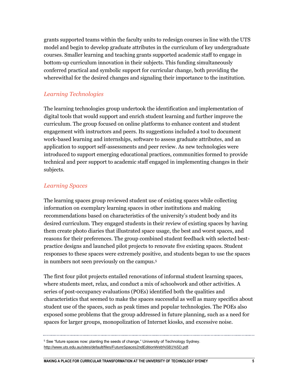grants supported teams within the faculty units to redesign courses in line with the UTS model and begin to develop graduate attributes in the curriculum of key undergraduate courses. Smaller learning and teaching grants supported academic staff to engage in bottom-up curriculum innovation in their subjects. This funding simultaneously conferred practical and symbolic support for curricular change, both providing the wherewithal for the desired changes and signaling their importance to the institution.

### *Learning Technologies*

The learning technologies group undertook the identification and implementation of digital tools that would support and enrich student learning and further improve the curriculum. The group focused on online platforms to enhance content and student engagement with instructors and peers. Its suggestions included a tool to document work-based learning and internships, software to assess graduate attributes, and an application to support self-assessments and peer review. As new technologies were introduced to support emerging educational practices, communities formed to provide technical and peer support to academic staff engaged in implementing changes in their subjects.

#### *Learning Spaces*

The learning spaces group reviewed student use of existing spaces while collecting information on exemplary learning spaces in other institutions and making recommendations based on characteristics of the university's student body and its desired curriculum. They engaged students in their review of existing spaces by having them create photo diaries that illustrated space usage, the best and worst spaces, and reasons for their preferences. The group combined student feedback with selected bestpractice designs and launched pilot projects to renovate five existing spaces. Student responses to these spaces were extremely positive, and students began to use the spaces in numbers not seen previously on the campus.<sup>5</sup>

The first four pilot projects entailed renovations of informal student learning spaces, where students meet, relax, and conduct a mix of schoolwork and other activities. A series of post-occupancy evaluations (POEs) identified both the qualities and characteristics that seemed to make the spaces successful as well as many specifics about student use of the spaces, such as peak times and popular technologies. The POEs also exposed some problems that the group addressed in future planning, such as a need for spaces for larger groups, monopolization of Internet kiosks, and excessive noise.

<sup>&</sup>lt;sup>5</sup> See "future spaces now: planting the seeds of change," University of Technology Sydney. [http://www.uts.edu.au/sites/default/files/FutureSpaces2ndEditionWeb%5B1%5D.pdf.](http://www.uts.edu.au/sites/default/files/FutureSpaces2ndEditionWeb%5B1%5D.pdf)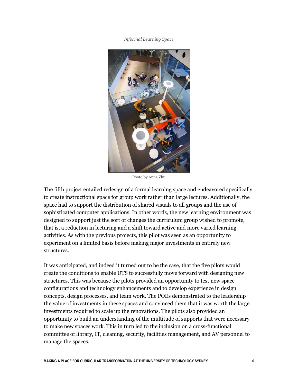*Informal Learning Space*



Photo by Anna Zhu

The fifth project entailed redesign of a formal learning space and endeavored specifically to create instructional space for group work rather than large lectures. Additionally, the space had to support the distribution of shared visuals to all groups and the use of sophisticated computer applications. In other words, the new learning environment was designed to support just the sort of changes the curriculum group wished to promote, that is, a reduction in lecturing and a shift toward active and more varied learning activities. As with the previous projects, this pilot was seen as an opportunity to experiment on a limited basis before making major investments in entirely new structures.

It was anticipated, and indeed it turned out to be the case, that the five pilots would create the conditions to enable UTS to successfully move forward with designing new structures. This was because the pilots provided an opportunity to test new space configurations and technology enhancements and to develop experience in design concepts, design processes, and team work. The POEs demonstrated to the leadership the value of investments in these spaces and convinced them that it was worth the large investments required to scale up the renovations. The pilots also provided an opportunity to build an understanding of the multitude of supports that were necessary to make new spaces work. This in turn led to the inclusion on a cross-functional committee of library, IT, cleaning, security, facilities management, and AV personnel to manage the spaces.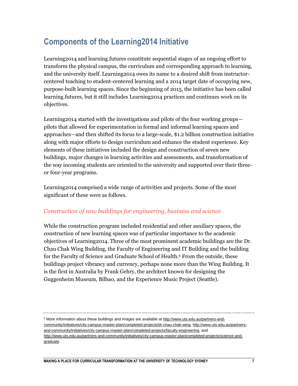## **Components of the Learning2014 Initiative**

Learning2014 and learning.futures constitute sequential stages of an ongoing effort to transform the physical campus, the curriculum and corresponding approach to learning, and the university itself. Learning2014 owes its name to a desired shift from instructorcentered teaching to student-centered learning and a 2014 target date of occupying new, purpose-built learning spaces. Since the beginning of 2015, the initiative has been called learning.futures, but it still includes Learning2014 practices and continues work on its objectives.

Learning2014 started with the investigations and pilots of the four working groups pilots that allowed for experimentation in formal and informal learning spaces and approaches—and then shifted its focus to a large-scale, \$1.2 billion construction initiative along with major efforts to design curriculum and enhance the student experience. Key elements of these initiatives included the design and construction of seven new buildings, major changes in learning activities and assessments, and transformation of the way incoming students are oriented to the university and supported over their threeor four-year programs.

Learning2014 comprised a wide range of activities and projects. Some of the most significant of these were as follows.

### *Construction of new buildings for engineering, business and science*

While the construction program included residential and other auxiliary spaces, the construction of new learning spaces was of particular importance to the academic objectives of Learning2014. Three of the most prominent academic buildings are the Dr. Chau Chak Wing Building, the Faculty of Engineering and IT Building and the building for the Faculty of Science and Graduate School of Health. <sup>6</sup> From the outside, these buildings project vibrancy and currency, perhaps none more than the Wing Building. It is the first in Australia by Frank Gehry, the architect known for designing the Guggenheim Museum, Bilbao, and the Experience Music Project (Seattle).

<sup>6</sup> More information about these buildings and images are available at [http://www.uts.edu.au/partners-and](http://www.uts.edu.au/partners-and-community/initiatives/city-campus-master-plan/completed-projects/dr-chau-chak-wing)[community/initiatives/city-campus-master-plan/completed-projects/dr-chau-chak-wing,](http://www.uts.edu.au/partners-and-community/initiatives/city-campus-master-plan/completed-projects/dr-chau-chak-wing) [http://www.uts.edu.au/partners](http://www.uts.edu.au/partners-and-community/initiatives/city-campus-master-plan/completed-projects/faculty-engineering)[and-community/initiatives/city-campus-master-plan/completed-projects/faculty-engineering,](http://www.uts.edu.au/partners-and-community/initiatives/city-campus-master-plan/completed-projects/faculty-engineering) and [http://www.uts.edu.au/partners-and-community/initiatives/city-campus-master-plan/completed-projects/science-and](http://www.uts.edu.au/partners-and-community/initiatives/city-campus-master-plan/completed-projects/science-and-graduate)[graduate.](http://www.uts.edu.au/partners-and-community/initiatives/city-campus-master-plan/completed-projects/science-and-graduate)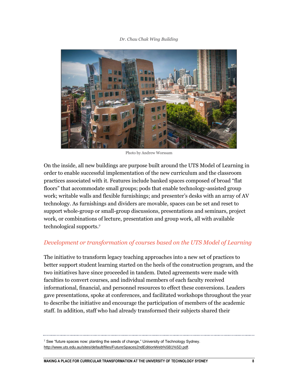#### *Dr. Chau Chak Wing Building*



Photo by Andrew Worssam

On the inside, all new buildings are purpose built around the UTS Model of Learning in order to enable successful implementation of the new curriculum and the classroom practices associated with it. Features include banked spaces composed of broad "flat floors" that accommodate small groups; pods that enable technology-assisted group work; writable walls and flexible furnishings; and presenter's desks with an array of AV technology. As furnishings and dividers are movable, spaces can be set and reset to support whole-group or small-group discussions, presentations and seminars, project work, or combinations of lecture, presentation and group work, all with available technological supports.<sup>7</sup>

#### *Development or transformation of courses based on the UTS Model of Learning*

The initiative to transform legacy teaching approaches into a new set of practices to better support student learning started on the heels of the construction program, and the two initiatives have since proceeded in tandem. Dated agreements were made with faculties to convert courses, and individual members of each faculty received informational, financial, and personnel resources to effect these conversions. Leaders gave presentations, spoke at conferences, and facilitated workshops throughout the year to describe the initiative and encourage the participation of members of the academic staff. In addition, staff who had already transformed their subjects shared their

<sup>7</sup> See "future spaces now: planting the seeds of change," University of Technology Sydney. [http://www.uts.edu.au/sites/default/files/FutureSpaces2ndEditionWeb%5B1%5D.pdf.](http://www.uts.edu.au/sites/default/files/FutureSpaces2ndEditionWeb%5B1%5D.pdf)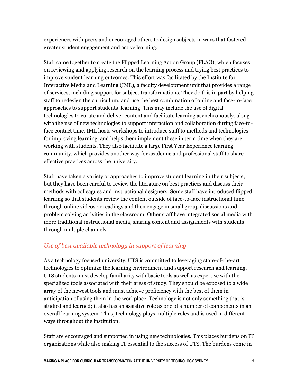experiences with peers and encouraged others to design subjects in ways that fostered greater student engagement and active learning.

Staff came together to create the Flipped Learning Action Group (FLAG), which focuses on reviewing and applying research on the learning process and trying best practices to improve student learning outcomes. This effort was facilitated by the Institute for Interactive Media and Learning (IML), a faculty development unit that provides a range of services, including support for subject transformations. They do this in part by helping staff to redesign the curriculum, and use the best combination of online and face-to-face approaches to support students' learning. This may include the use of digital technologies to curate and deliver content and facilitate learning asynchronously, along with the use of new technologies to support interaction and collaboration during face-toface contact time. IML hosts workshops to introduce staff to methods and technologies for improving learning, and helps them implement these in term time when they are working with students. They also facilitate a large First Year Experience learning community, which provides another way for academic and professional staff to share effective practices across the university.

Staff have taken a variety of approaches to improve student learning in their subjects, but they have been careful to review the literature on best practices and discuss their methods with colleagues and instructional designers. Some staff have introduced flipped learning so that students review the content outside of face-to-face instructional time through online videos or readings and then engage in small group discussions and problem solving activities in the classroom. Other staff have integrated social media with more traditional instructional media, sharing content and assignments with students through multiple channels.

### *Use of best available technology in support of learning*

As a technology focused university, UTS is committed to leveraging state-of-the-art technologies to optimize the learning environment and support research and learning. UTS students must develop familiarity with basic tools as well as expertise with the specialized tools associated with their areas of study. They should be exposed to a wide array of the newest tools and must achieve proficiency with the best of them in anticipation of using them in the workplace. Technology is not only something that is studied and learned; it also has an assistive role as one of a number of components in an overall learning system. Thus, technology plays multiple roles and is used in different ways throughout the institution.

Staff are encouraged and supported in using new technologies. This places burdens on IT organizations while also making IT essential to the success of UTS. The burdens come in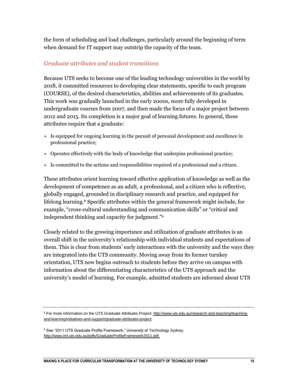the form of scheduling and load challenges, particularly around the beginning of term when demand for IT support may outstrip the capacity of the team.

#### *Graduate attributes and student transitions*

Because UTS seeks to become one of the leading technology universities in the world by 2018, it committed resources to developing clear statements, specific to each program (COURSE), of the desired characteristics, abilities and achievements of its graduates. This work was gradually launched in the early 2000s, more fully developed in undergraduate courses from 2007, and then made the focus of a major project between 2012 and 2015. Its completion is a major goal of learning.futures. In general, these attributes require that a graduate:

- » Is equipped for ongoing learning in the pursuit of personal development and excellence in professional practice;
- » Operates effectively with the body of knowledge that underpins professional practice;
- » Is committed to the actions and responsibilities required of a professional and a citizen.

These attributes orient learning toward effective application of knowledge as well as the development of competence as an adult, a professional, and a citizen who is reflective, globally engaged, grounded in disciplinary research and practice, and equipped for lifelong learning.<sup>8</sup> Specific attributes within the general framework might include, for example, "cross-cultural understanding and communication skills" or "critical and independent thinking and capacity for judgment."<sup>9</sup>

Closely related to the growing importance and utilization of graduate attributes is an overall shift in the university's relationship with individual students and expectations of them. This is clear from students' early interactions with the university and the ways they are integrated into the UTS community. Moving away from its former turnkey orientation, UTS now begins outreach to students before they arrive on campus with information about the differentiating characteristics of the UTS approach and the university's model of learning. For example, admitted students are informed about UTS

<sup>&</sup>lt;sup>8</sup> For more information on the UTS Graduate Attributes Project: [http://www.uts.edu.au/research-and-teaching/teaching](http://www.uts.edu.au/research-and-teaching/teaching-and-learning/initiatives-and-support/graduate-attributes-project)[and-learning/initiatives-and-support/graduate-attributes-project.](http://www.uts.edu.au/research-and-teaching/teaching-and-learning/initiatives-and-support/graduate-attributes-project)

<sup>&</sup>lt;sup>9</sup> See "2011 UTS Graduate Profile Framework," University of Technology Sydney. [http://www.iml.uts.edu.au/pdfs/GraduateProfileFramework2011.pdf.](http://www.iml.uts.edu.au/pdfs/GraduateProfileFramework2011.pdf)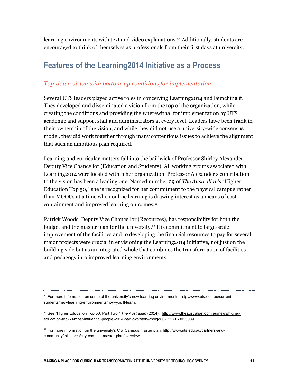learning environments with text and video explanations.<sup>10</sup> Additionally, students are encouraged to think of themselves as professionals from their first days at university.

### **Features of the Learning2014 Initiative as a Process**

#### *Top-down vision with bottom-up conditions for implementation*

Several UTS leaders played active roles in conceiving Learning2014 and launching it. They developed and disseminated a vision from the top of the organization, while creating the conditions and providing the wherewithal for implementation by UTS academic and support staff and administrators at every level. Leaders have been frank in their ownership of the vision, and while they did not use a university-wide consensus model, they did work together through many contentious issues to achieve the alignment that such an ambitious plan required.

Learning and curricular matters fall into the bailiwick of Professor Shirley Alexander, Deputy Vice Chancellor (Education and Students). All working groups associated with Learning2014 were located within her organization. Professor Alexander's contribution to the vision has been a leading one. Named number 29 of *The Australian's* "Higher Education Top 50," she is recognized for her commitment to the physical campus rather than MOOCs at a time when online learning is drawing interest as a means of cost containment and improved learning outcomes.<sup>11</sup>

Patrick Woods, Deputy Vice Chancellor (Resources), has responsibility for both the budget and the master plan for the university.<sup>12</sup> His commitment to large-scale improvement of the facilities and to developing the financial resources to pay for several major projects were crucial in envisioning the Learning2014 initiative, not just on the building side but as an integrated whole that combines the transformation of facilities and pedagogy into improved learning environments.

 $10$  For more information on some of the university's new learning environments: [http://www.uts.edu.au/current](http://www.uts.edu.au/current-students/new-learning-environments/how-you)[students/new-learning-environments/how-you'll-learn.](http://www.uts.edu.au/current-students/new-learning-environments/how-you)

<sup>11</sup> See "Higher Education Top 50, Part Two," *The Australian* (2014). [http://www.theaustralian.com.au/news/higher](http://www.theaustralian.com.au/news/higher-education-top-50-most-influential-people-2014-part-two/story-fnolgd60-1227153013039)[education-top-50-most-influential-people-2014-part-two/story-fnolgd60-1227153013039.](http://www.theaustralian.com.au/news/higher-education-top-50-most-influential-people-2014-part-two/story-fnolgd60-1227153013039)

 $12$  For more information on the university's City Campus master plan: [http://www.uts.edu.au/partners-and](http://www.uts.edu.au/partners-and-community/initiatives/city-campus-master-plan/overview)[community/initiatives/city-campus-master-plan/overview.](http://www.uts.edu.au/partners-and-community/initiatives/city-campus-master-plan/overview)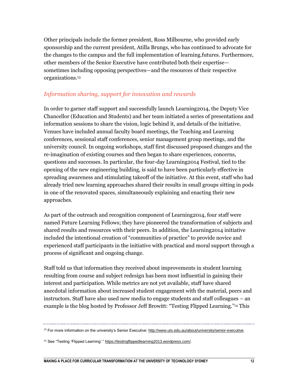Other principals include the former president, Ross Milbourne, who provided early sponsorship and the current president, Atilla Brungs, who has continued to advocate for the changes to the campus and the full implementation of learning.futures. Furthermore, other members of the Senior Executive have contributed both their expertise sometimes including opposing perspectives—and the resources of their respective organizations.<sup>13</sup>

#### *Information sharing, support for innovation and rewards*

In order to garner staff support and successfully launch Learning2014, the Deputy Vice Chancellor (Education and Students) and her team initiated a series of presentations and information sessions to share the vision, logic behind it, and details of the initiative. Venues have included annual faculty board meetings, the Teaching and Learning conferences, sessional staff conferences, senior management group meetings, and the university council. In ongoing workshops, staff first discussed proposed changes and the re-imagination of existing courses and then began to share experiences, concerns, questions and successes. In particular, the four-day Learning2014 Festival, tied to the opening of the new engineering building, is said to have been particularly effective in spreading awareness and stimulating takeoff of the initiative. At this event, staff who had already tried new learning approaches shared their results in small groups sitting in pods in one of the renovated spaces, simultaneously explaining and enacting their new approaches.

As part of the outreach and recognition component of Learning2014, four staff were named Future Learning Fellows; they have pioneered the transformation of subjects and shared results and resources with their peers. In addition, the Learning2014 initiative included the intentional creation of "communities of practice" to provide novice and experienced staff participants in the initiative with practical and moral support through a process of significant and ongoing change.

Staff told us that information they received about improvements in student learning resulting from course and subject redesign has been most influential in gaining their interest and participation. While metrics are not yet available, staff have shared anecdotal information about increased student engagement with the material, peers and instructors. Staff have also used new media to engage students and staff colleagues – an example is the blog hosted by Professor Jeff Browitt: "Testing Flipped Learning." <sup>14</sup> This

<sup>&</sup>lt;sup>13</sup> For more information on the university's Senior Executive: [http://www.uts.edu.au/about/university/senior-executive.](http://www.uts.edu.au/about/university/senior-executive)

<sup>&</sup>lt;sup>14</sup> See "Testing 'Flipped Learning'.[" https://testingflippedlearning2013.wordpress.com/.](https://testingflippedlearning2013.wordpress.com/)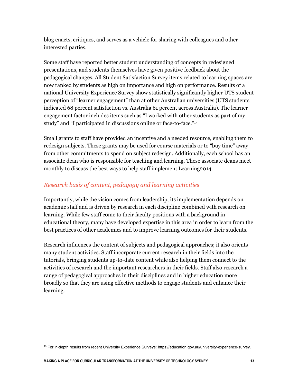blog enacts, critiques, and serves as a vehicle for sharing with colleagues and other interested parties.

Some staff have reported better student understanding of concepts in redesigned presentations, and students themselves have given positive feedback about the pedagogical changes. All Student Satisfaction Survey items related to learning spaces are now ranked by students as high on importance and high on performance. Results of a national University Experience Survey show statistically significantly higher UTS student perception of "learner engagement" than at other Australian universities (UTS students indicated 68 percent satisfaction vs. Australia 61 percent across Australia). The learner engagement factor includes items such as "I worked with other students as part of my study" and "I participated in discussions online or face-to-face."<sup>15</sup>

Small grants to staff have provided an incentive and a needed resource, enabling them to redesign subjects. These grants may be used for course materials or to "buy time" away from other commitments to spend on subject redesign. Additionally, each school has an associate dean who is responsible for teaching and learning. These associate deans meet monthly to discuss the best ways to help staff implement Learning2014.

#### *Research basis of content, pedagogy and learning activities*

Importantly, while the vision comes from leadership, its implementation depends on academic staff and is driven by research in each discipline combined with research on learning. While few staff come to their faculty positions with a background in educational theory, many have developed expertise in this area in order to learn from the best practices of other academics and to improve learning outcomes for their students.

Research influences the content of subjects and pedagogical approaches; it also orients many student activities. Staff incorporate current research in their fields into the tutorials, bringing students up-to-date content while also helping them connect to the activities of research and the important researchers in their fields. Staff also research a range of pedagogical approaches in their disciplines and in higher education more broadly so that they are using effective methods to engage students and enhance their learning.

<sup>&</sup>lt;sup>15</sup> For in-depth results from recent University Experience Surveys: [https://education.gov.au/university-experience-survey.](https://education.gov.au/university-experience-survey)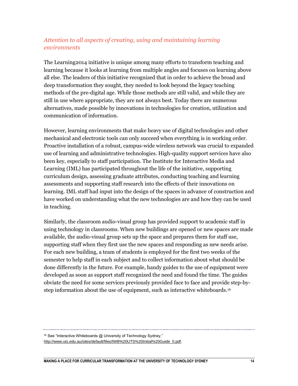### *Attention to all aspects of creating, using and maintaining learning environments*

The Learning2014 initiative is unique among many efforts to transform teaching and learning because it looks at learning from multiple angles and focuses on learning above all else. The leaders of this initiative recognized that in order to achieve the broad and deep transformation they sought, they needed to look beyond the legacy teaching methods of the pre-digital age. While those methods are still valid, and while they are still in use where appropriate, they are not always best. Today there are numerous alternatives, made possible by innovations in technologies for creation, utilization and communication of information.

However, learning environments that make heavy use of digital technologies and other mechanical and electronic tools can only succeed when everything is in working order. Proactive installation of a robust, campus-wide wireless network was crucial to expanded use of learning and administrative technologies. High-quality support services have also been key, especially to staff participation. The Institute for Interactive Media and Learning (IML) has participated throughout the life of the initiative, supporting curriculum design, assessing graduate attributes, conducting teaching and learning assessments and supporting staff research into the effects of their innovations on learning. IML staff had input into the design of the spaces in advance of construction and have worked on understanding what the new technologies are and how they can be used in teaching.

Similarly, the classroom audio-visual group has provided support to academic staff in using technology in classrooms. When new buildings are opened or new spaces are made available, the audio-visual group sets up the space and prepares them for staff use, supporting staff when they first use the new spaces and responding as new needs arise. For each new building, a team of students is employed for the first two weeks of the semester to help staff in each subject and to collect information about what should be done differently in the future. For example, handy guides to the use of equipment were developed as soon as support staff recognized the need and found the time. The guides obviate the need for some services previously provided face to face and provide step-bystep information about the use of equipment, such as interactive whiteboards.<sup>16</sup>

<sup>&</sup>lt;sup>16</sup> See "Interactive Whiteboards @ University of Technology Sydney."

[http://www.uts.edu.au/sites/default/files/IWB%20UTS%20Initial%20Guide\\_0.pdf.](http://www.uts.edu.au/sites/default/files/IWB%20UTS%20Initial%20Guide_0.pdf)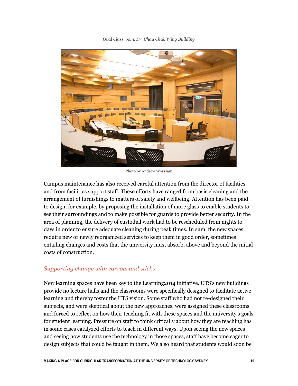

*Oval Classroom, Dr. Chau Chak Wing Building*

Photo by Andrew Worssam

Campus maintenance has also received careful attention from the director of facilities and from facilities support staff. These efforts have ranged from basic cleaning and the arrangement of furnishings to matters of safety and wellbeing. Attention has been paid to design, for example, by proposing the installation of more glass to enable students to see their surroundings and to make possible for guards to provide better security. In the area of planning, the delivery of custodial work had to be rescheduled from nights to days in order to ensure adequate cleaning during peak times. In sum, the new spaces require new or newly reorganized services to keep them in good order, sometimes entailing changes and costs that the university must absorb, above and beyond the initial costs of construction.

#### *Supporting change with carrots and sticks*

New learning spaces have been key to the Learning2014 initiative. UTS's new buildings provide no lecture halls and the classrooms were specifically designed to facilitate active learning and thereby foster the UTS vision. Some staff who had not re-designed their subjects, and were skeptical about the new approaches, were assigned these classrooms and forced to reflect on how their teaching fit with these spaces and the university's goals for student learning. Pressure on staff to think critically about how they are teaching has in some cases catalyzed efforts to teach in different ways. Upon seeing the new spaces and seeing how students use the technology in those spaces, staff have become eager to design subjects that could be taught in them. We also heard that students would soon be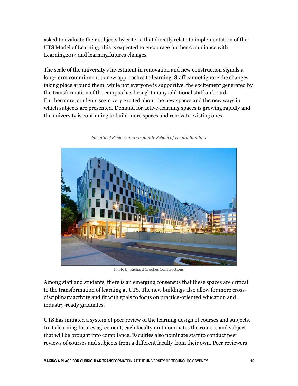asked to evaluate their subjects by criteria that directly relate to implementation of the UTS Model of Learning; this is expected to encourage further compliance with Learning2014 and learning.futures changes.

The scale of the university's investment in renovation and new construction signals a long-term commitment to new approaches to learning. Staff cannot ignore the changes taking place around them; while not everyone is supportive, the excitement generated by the transformation of the campus has brought many additional staff on board. Furthermore, students seem very excited about the new spaces and the new ways in which subjects are presented. Demand for active-learning spaces is growing rapidly and the university is continuing to build more spaces and renovate existing ones.



*Faculty of Science and Graduate School of Health Building*

Photo by Richard Crookes Constructions

Among staff and students, there is an emerging consensus that these spaces are critical to the transformation of learning at UTS. The new buildings also allow for more crossdisciplinary activity and fit with goals to focus on practice-oriented education and industry-ready graduates.

UTS has initiated a system of peer review of the learning design of courses and subjects. In its learning.futures agreement, each faculty unit nominates the courses and subject that will be brought into compliance. Faculties also nominate staff to conduct peer reviews of courses and subjects from a different faculty from their own. Peer reviewers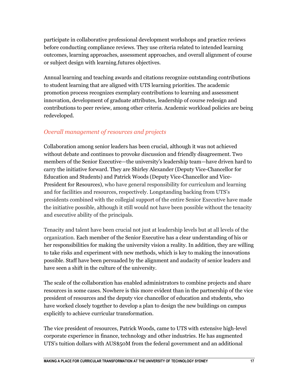participate in collaborative professional development workshops and practice reviews before conducting compliance reviews. They use criteria related to intended learning outcomes, learning approaches, assessment approaches, and overall alignment of course or subject design with learning.futures objectives.

Annual learning and teaching awards and citations recognize outstanding contributions to student learning that are aligned with UTS learning priorities. The academic promotion process recognizes exemplary contributions to learning and assessment innovation, development of graduate attributes, leadership of course redesign and contributions to peer review, among other criteria. Academic workload policies are being redeveloped.

### *Overall management of resources and projects*

Collaboration among senior leaders has been crucial, although it was not achieved without debate and continues to provoke discussion and friendly disagreement. Two members of the Senior Executive—the university's leadership team—have driven hard to carry the initiative forward. They are Shirley Alexander (Deputy Vice-Chancellor for Education and Students) and Patrick Woods (Deputy Vice-Chancellor and Vice-President for Resources), who have general responsibility for curriculum and learning and for facilities and resources, respectively. Longstanding backing from UTS's presidents combined with the collegial support of the entire Senior Executive have made the initiative possible, although it still would not have been possible without the tenacity and executive ability of the principals.

Tenacity and talent have been crucial not just at leadership levels but at all levels of the organization. Each member of the Senior Executive has a clear understanding of his or her responsibilities for making the university vision a reality. In addition, they are willing to take risks and experiment with new methods, which is key to making the innovations possible. Staff have been persuaded by the alignment and audacity of senior leaders and have seen a shift in the culture of the university.

The scale of the collaboration has enabled administrators to combine projects and share resources in some cases. Nowhere is this more evident than in the partnership of the vice president of resources and the deputy vice chancellor of education and students, who have worked closely together to develop a plan to design the new buildings on campus explicitly to achieve curricular transformation.

The vice president of resources, Patrick Woods, came to UTS with extensive high-level corporate experience in finance, technology and other industries. He has augmented UTS's tuition dollars with AUS\$50M from the federal government and an additional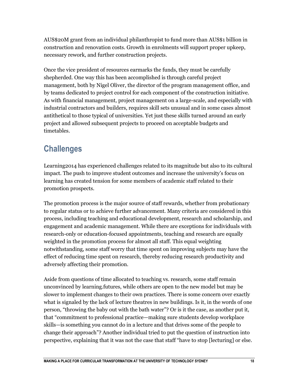AUS\$20M grant from an individual philanthropist to fund more than AUS\$1 billion in construction and renovation costs. Growth in enrolments will support proper upkeep, necessary rework, and further construction projects.

Once the vice president of resources earmarks the funds, they must be carefully shepherded. One way this has been accomplished is through careful project management, both by Nigel Oliver, the director of the program management office, and by teams dedicated to project control for each component of the construction initiative. As with financial management, project management on a large-scale, and especially with industrial contractors and builders, requires skill sets unusual and in some cases almost antithetical to those typical of universities. Yet just these skills turned around an early project and allowed subsequent projects to proceed on acceptable budgets and timetables.

### **Challenges**

Learning2014 has experienced challenges related to its magnitude but also to its cultural impact. The push to improve student outcomes and increase the university's focus on learning has created tension for some members of academic staff related to their promotion prospects.

The promotion process is the major source of staff rewards, whether from probationary to regular status or to achieve further advancement. Many criteria are considered in this process, including teaching and educational development, research and scholarship, and engagement and academic management. While there are exceptions for individuals with research-only or education-focused appointments, teaching and research are equally weighted in the promotion process for almost all staff. This equal weighting notwithstanding, some staff worry that time spent on improving subjects may have the effect of reducing time spent on research, thereby reducing research productivity and adversely affecting their promotion.

Aside from questions of time allocated to teaching vs. research, some staff remain unconvinced by learning.futures, while others are open to the new model but may be slower to implement changes to their own practices. There is some concern over exactly what is signaled by the lack of lecture theatres in new buildings. Is it, in the words of one person, "throwing the baby out with the bath water"? Or is it the case, as another put it, that "commitment to professional practice—making sure students develop workplace skills—is something you cannot do in a lecture and that drives some of the people to change their approach"? Another individual tried to put the question of instruction into perspective, explaining that it was not the case that staff "have to stop [lecturing] or else.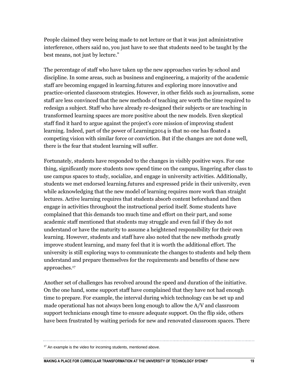People claimed they were being made to not lecture or that it was just administrative interference, others said no, you just have to see that students need to be taught by the best means, not just by lecture."

The percentage of staff who have taken up the new approaches varies by school and discipline. In some areas, such as business and engineering, a majority of the academic staff are becoming engaged in learning.futures and exploring more innovative and practice-oriented classroom strategies. However, in other fields such as journalism, some staff are less convinced that the new methods of teaching are worth the time required to redesign a subject. Staff who have already re-designed their subjects or are teaching in transformed learning spaces are more positive about the new models. Even skeptical staff find it hard to argue against the project's core mission of improving student learning. Indeed, part of the power of Learning2014 is that no one has floated a competing vision with similar force or conviction. But if the changes are not done well, there is the fear that student learning will suffer.

Fortunately, students have responded to the changes in visibly positive ways. For one thing, significantly more students now spend time on the campus, lingering after class to use campus spaces to study, socialize, and engage in university activities. Additionally, students we met endorsed learning.futures and expressed pride in their university, even while acknowledging that the new model of learning requires more work than straight lectures. Active learning requires that students absorb content beforehand and then engage in activities throughout the instructional period itself. Some students have complained that this demands too much time and effort on their part, and some academic staff mentioned that students may struggle and even fail if they do not understand or have the maturity to assume a heightened responsibility for their own learning. However, students and staff have also noted that the new methods greatly improve student learning, and many feel that it is worth the additional effort. The university is still exploring ways to communicate the changes to students and help them understand and prepare themselves for the requirements and benefits of these new approaches.<sup>17</sup>

Another set of challenges has revolved around the speed and duration of the initiative. On the one hand, some support staff have complained that they have not had enough time to prepare. For example, the interval during which technology can be set up and made operational has not always been long enough to allow the A/V and classroom support technicians enough time to ensure adequate support. On the flip side, others have been frustrated by waiting periods for new and renovated classroom spaces. There

 $17$  An example is the video for incoming students, mentioned above.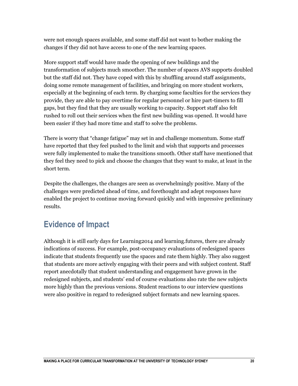were not enough spaces available, and some staff did not want to bother making the changes if they did not have access to one of the new learning spaces.

More support staff would have made the opening of new buildings and the transformation of subjects much smoother. The number of spaces AVS supports doubled but the staff did not. They have coped with this by shuffling around staff assignments, doing some remote management of facilities, and bringing on more student workers, especially at the beginning of each term. By charging some faculties for the services they provide, they are able to pay overtime for regular personnel or hire part-timers to fill gaps, but they find that they are usually working to capacity. Support staff also felt rushed to roll out their services when the first new building was opened. It would have been easier if they had more time and staff to solve the problems.

There is worry that "change fatigue" may set in and challenge momentum. Some staff have reported that they feel pushed to the limit and wish that supports and processes were fully implemented to make the transitions smooth. Other staff have mentioned that they feel they need to pick and choose the changes that they want to make, at least in the short term.

Despite the challenges, the changes are seen as overwhelmingly positive. Many of the challenges were predicted ahead of time, and forethought and adept responses have enabled the project to continue moving forward quickly and with impressive preliminary results.

### **Evidence of Impact**

Although it is still early days for Learning2014 and learning.futures, there are already indications of success. For example, post-occupancy evaluations of redesigned spaces indicate that students frequently use the spaces and rate them highly. They also suggest that students are more actively engaging with their peers and with subject content. Staff report anecdotally that student understanding and engagement have grown in the redesigned subjects, and students' end of course evaluations also rate the new subjects more highly than the previous versions. Student reactions to our interview questions were also positive in regard to redesigned subject formats and new learning spaces.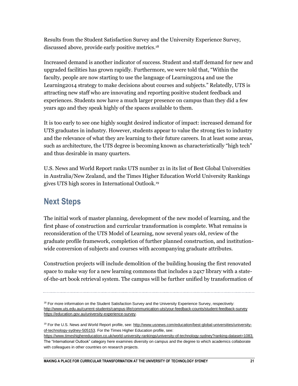Results from the Student Satisfaction Survey and the University Experience Survey, discussed above, provide early positive metrics.<sup>18</sup>

Increased demand is another indicator of success. Student and staff demand for new and upgraded facilities has grown rapidly. Furthermore, we were told that, "Within the faculty, people are now starting to use the language of Learning2014 and use the Learning2014 strategy to make decisions about courses and subjects." Relatedly, UTS is attracting new staff who are innovating and reporting positive student feedback and experiences. Students now have a much larger presence on campus than they did a few years ago and they speak highly of the spaces available to them.

It is too early to see one highly sought desired indicator of impact: increased demand for UTS graduates in industry. However, students appear to value the strong ties to industry and the relevance of what they are learning to their future careers. In at least some areas, such as architecture, the UTS degree is becoming known as characteristically "high tech" and thus desirable in many quarters.

U.S. News and World Report ranks UTS number 21 in its list of Best Global Universities in Australia/New Zealand, and the Times Higher Education World University Rankings gives UTS high scores in International Outlook.<sup>19</sup>

### **Next Steps**

The initial work of master planning, development of the new model of learning, and the first phase of construction and curricular transformation is complete. What remains is reconsideration of the UTS Model of Learning, now several years old, review of the graduate profile framework, completion of further planned construction, and institutionwide conversion of subjects and courses with accompanying graduate attributes.

Construction projects will include demolition of the building housing the first renovated space to make way for a new learning commons that includes a 24x7 library with a stateof-the-art book retrieval system. The campus will be further unified by transformation of

<sup>&</sup>lt;sup>18</sup> For more information on the Student Satisfaction Survey and the University Experience Survey, respectively: <http://www.uts.edu.au/current-students/campus-life/communication-uts/your-feedback-counts/student-feedback-survey> [https://education.gov.au/university-experience-survey.](https://education.gov.au/university-experience-survey)

<sup>&</sup>lt;sup>19</sup> For the U.S. News and World Report profile, see: [http://www.usnews.com/education/best-global-universities/university](http://www.usnews.com/education/best-global-universities/university-of-technology-sydney-505153)[of-technology-sydney-505153.](http://www.usnews.com/education/best-global-universities/university-of-technology-sydney-505153) For the Times Higher Education profile, see:

[https://www.timeshighereducation.co.uk/world-university-rankings/university-of-technology-sydney?ranking-dataset=1083.](https://www.timeshighereducation.co.uk/world-university-rankings/university-of-technology-sydney?ranking-dataset=1083)  The "International Outlook" category here examines diversity on campus and the degree to which academics collaborate with colleagues in other countries on research projects.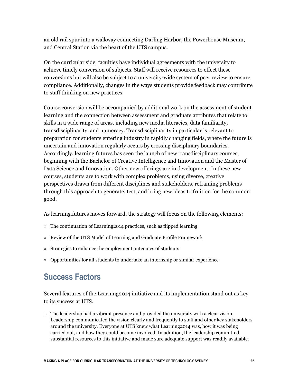an old rail spur into a walkway connecting Darling Harbor, the Powerhouse Museum, and Central Station via the heart of the UTS campus.

On the curricular side, faculties have individual agreements with the university to achieve timely conversion of subjects. Staff will receive resources to effect these conversions but will also be subject to a university-wide system of peer review to ensure compliance. Additionally, changes in the ways students provide feedback may contribute to staff thinking on new practices.

Course conversion will be accompanied by additional work on the assessment of student learning and the connection between assessment and graduate attributes that relate to skills in a wide range of areas, including new media literacies, data familiarity, transdisciplinarity, and numeracy. Transdisciplinarity in particular is relevant to preparation for students entering industry in rapidly changing fields, where the future is uncertain and innovation regularly occurs by crossing disciplinary boundaries. Accordingly, learning.futures has seen the launch of new transdisciplinary courses, beginning with the Bachelor of Creative Intelligence and Innovation and the Master of Data Science and Innovation. Other new offerings are in development. In these new courses, students are to work with complex problems, using diverse, creative perspectives drawn from different disciplines and stakeholders, reframing problems through this approach to generate, test, and bring new ideas to fruition for the common good.

As learning.futures moves forward, the strategy will focus on the following elements:

- » The continuation of Learning2014 practices, such as flipped learning
- » Review of the UTS Model of Learning and Graduate Profile Framework
- » Strategies to enhance the employment outcomes of students
- » Opportunities for all students to undertake an internship or similar experience

### **Success Factors**

Several features of the Learning2014 initiative and its implementation stand out as key to its success at UTS.

1. The leadership had a vibrant presence and provided the university with a clear vision. Leadership communicated the vision clearly and frequently to staff and other key stakeholders around the university. Everyone at UTS knew what Learning2014 was, how it was being carried out, and how they could become involved. In addition, the leadership committed substantial resources to this initiative and made sure adequate support was readily available.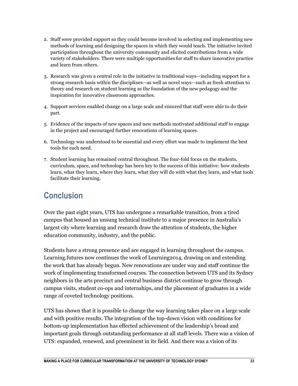- 2. Staff were provided support so they could become involved in selecting and implementing new methods of learning and designing the spaces in which they would teach. The initiative invited participation throughout the university community and elicited contributions from a wide variety of stakeholders. There were multiple opportunities for staff to share innovative practice and learn from others.
- 3. Research was given a central role in the initiative in traditional ways—including support for a strong research basis within the disciplines—as well as novel ways—such as fresh attention to theory and research on student learning as the foundation of the new pedagogy and the inspiration for innovative classroom approaches.
- 4. Support services enabled change on a large scale and ensured that staff were able to do their part.
- 5. Evidence of the impacts of new spaces and new methods motivated additional staff to engage in the project and encouraged further renovations of learning spaces.
- 6. Technology was understood to be essential and every effort was made to implement the best tools for each need.
- 7. Student learning has remained central throughout. The four-fold focus on the students, curriculum, space, and technology has been key to the success of this initiative: how students learn, what they learn, where they learn, what they will do with what they learn, and what tools facilitate their learning.

### **Conclusion**

Over the past eight years, UTS has undergone a remarkable transition, from a tired campus that housed an unsung technical institute to a major presence in Australia's largest city where learning and research draw the attention of students, the higher education community, industry, and the public.

Students have a strong presence and are engaged in learning throughout the campus. Learning.futures now continues the work of Learning2014, drawing on and extending the work that has already begun. New renovations are under way and staff continue the work of implementing transformed courses. The connection between UTS and its Sydney neighbors in the arts precinct and central business district continue to grow through campus visits, student co-ops and internships, and the placement of graduates in a wide range of coveted technology positions.

UTS has shown that it is possible to change the way learning takes place on a large scale and with positive results. The integration of the top-down vision with conditions for bottom-up implementation has effected achievement of the leadership's broad and important goals through outstanding performance at all staff levels. There was a vision of UTS: expanded, renewed, and preeminent in its field. And there was a vision of its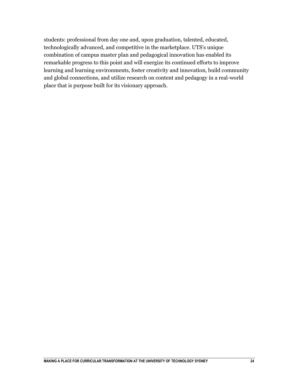students: professional from day one and, upon graduation, talented, educated, technologically advanced, and competitive in the marketplace. UTS's unique combination of campus master plan and pedagogical innovation has enabled its remarkable progress to this point and will energize its continued efforts to improve learning and learning environments, foster creativity and innovation, build community and global connections, and utilize research on content and pedagogy in a real-world place that is purpose built for its visionary approach.